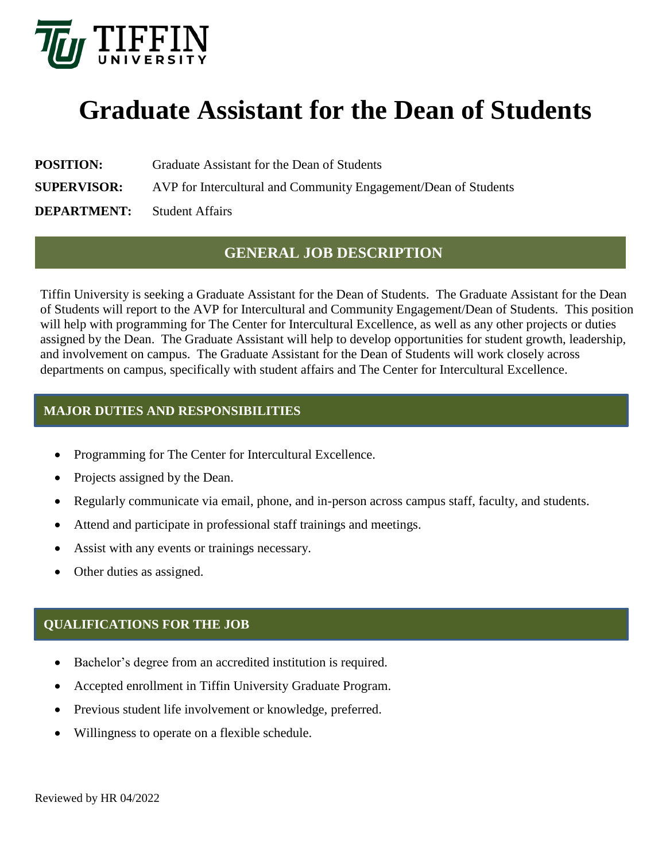

# **Graduate Assistant for the Dean of Students**

**POSITION:** Graduate Assistant for the Dean of Students

**SUPERVISOR:** AVP for Intercultural and Community Engagement/Dean of Students

**DEPARTMENT:** Student Affairs

## **GENERAL JOB DESCRIPTION**

Tiffin University is seeking a Graduate Assistant for the Dean of Students. The Graduate Assistant for the Dean of Students will report to the AVP for Intercultural and Community Engagement/Dean of Students. This position will help with programming for The Center for Intercultural Excellence, as well as any other projects or duties assigned by the Dean. The Graduate Assistant will help to develop opportunities for student growth, leadership, and involvement on campus. The Graduate Assistant for the Dean of Students will work closely across departments on campus, specifically with student affairs and The Center for Intercultural Excellence.

## **MAJOR DUTIES AND RESPONSIBILITIES**

- Programming for The Center for Intercultural Excellence.
- Projects assigned by the Dean.
- Regularly communicate via email, phone, and in-person across campus staff, faculty, and students.
- Attend and participate in professional staff trainings and meetings.
- Assist with any events or trainings necessary.
- Other duties as assigned.

## **QUALIFICATIONS FOR THE JOB**

- Bachelor's degree from an accredited institution is required.
- Accepted enrollment in Tiffin University Graduate Program.
- Previous student life involvement or knowledge, preferred.
- Willingness to operate on a flexible schedule.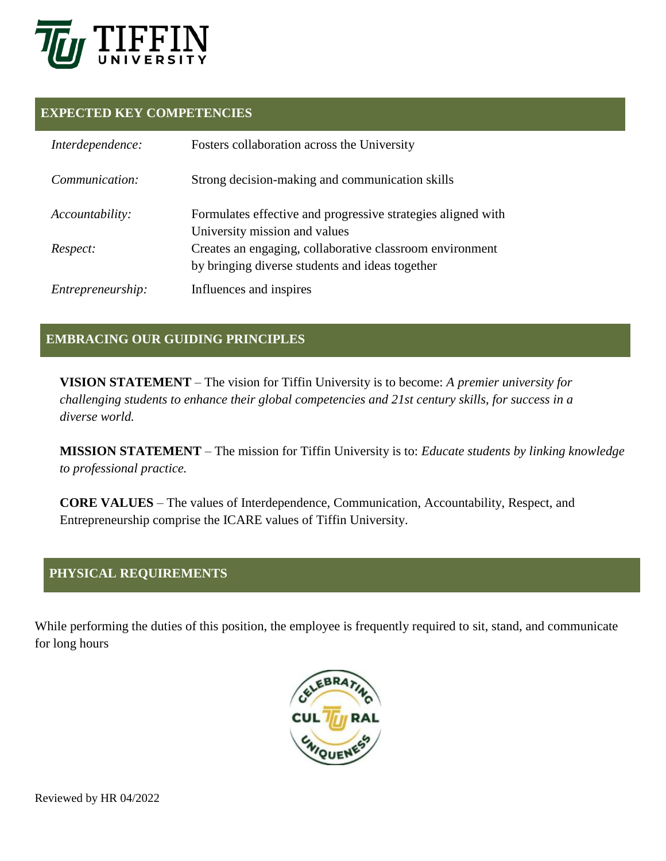

#### **EXPECTED KEY COMPETENCIES**

| Interdependence:  | Fosters collaboration across the University                                                                 |
|-------------------|-------------------------------------------------------------------------------------------------------------|
| Communication:    | Strong decision-making and communication skills                                                             |
| Accountability:   | Formulates effective and progressive strategies aligned with<br>University mission and values               |
| Respect:          | Creates an engaging, collaborative classroom environment<br>by bringing diverse students and ideas together |
| Entrepreneurship: | Influences and inspires                                                                                     |

## **EMBRACING OUR GUIDING PRINCIPLES**

**VISION STATEMENT** – The vision for Tiffin University is to become: *A premier university for challenging students to enhance their global competencies and 21st century skills, for success in a diverse world.*

**MISSION STATEMENT** – The mission for Tiffin University is to: *Educate students by linking knowledge to professional practice.*

**CORE VALUES** – The values of Interdependence, Communication, Accountability, Respect, and Entrepreneurship comprise the ICARE values of Tiffin University.

### **PHYSICAL REQUIREMENTS**

While performing the duties of this position, the employee is frequently required to sit, stand, and communicate for long hours